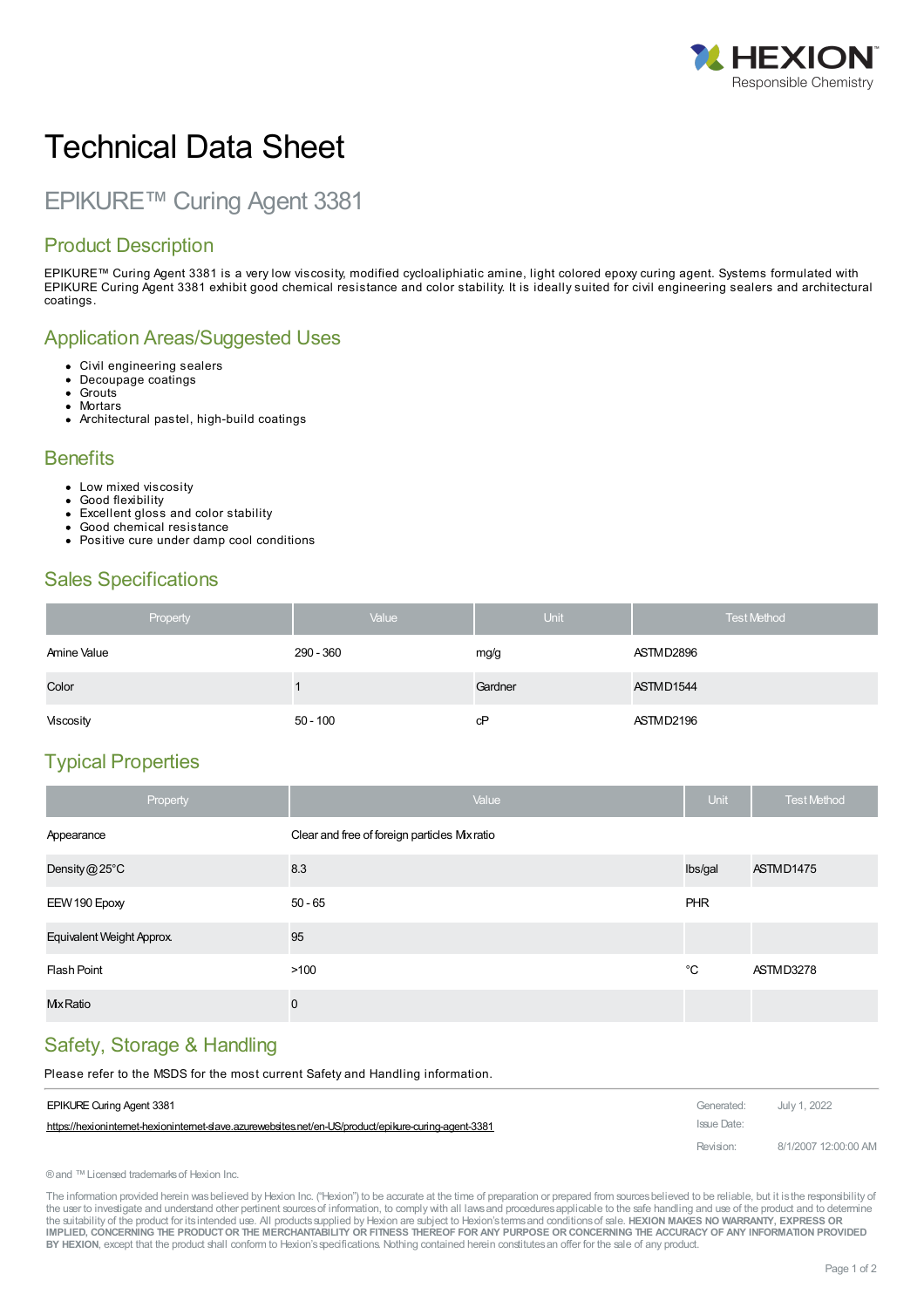

# Technical Data Sheet

## EPIKURE™ Curing Agent 3381

#### Product Description

EPIKURE™ Curing Agent 3381 is a very low viscosity, modified cycloaliphiatic amine, light colored epoxy curing agent. Systems formulated with EPIKURE Curing Agent 3381 exhibit good chemical resistance and color stability. It is ideally suited for civil engineering sealers and architectural coatings.

#### Application Areas/Suggested Uses

- Civil engineering sealers  $\bullet$
- $\bullet$ Decoupage coatings
- Grouts  $\bullet$ **Mortars**
- Architectural pastel, high-build coatings

#### **Benefits**

- Low mixed viscosity
- Good flexibility
- Excellent gloss and color stability  $\bullet$
- Good chemical resistance Positive cure under damp cool conditions

#### Sales Specifications

| Property    | Value      | <b>Unit</b> | <b>Test Method</b> |
|-------------|------------|-------------|--------------------|
| Amine Value | 290 - 360  | mg/g        | ASTMD2896          |
| Color       |            | Gardner     | ASTMD1544          |
| Viscosity   | $50 - 100$ | cP          | ASTMD2196          |

#### Typical Properties

| Property                  | Value                                        | <b>Unit</b> | <b>Test Method</b> |
|---------------------------|----------------------------------------------|-------------|--------------------|
| Appearance                | Clear and free of foreign particles Mx ratio |             |                    |
| Density@25°C              | 8.3                                          | lbs/gal     | ASTMD1475          |
| EEW 190 Epoxy             | $50 - 65$                                    | PHR         |                    |
| Equivalent Weight Approx. | 95                                           |             |                    |
| Flash Point               | >100                                         | °C          | ASTMD3278          |
| <b>Mx</b> Ratio           | $\mathbf 0$                                  |             |                    |

#### Safety, Storage & Handling

Please refer to the MSDS for the most current Safety and Handling [information.](https://hexioninternet-hexioninternet-slave.azurewebsites.net/en-US/product/epikure-curing-agent-3381)

| <b>EPIKURE Curing Agent 3381</b>                                                                      | Generated:  | July 1, 2022         |
|-------------------------------------------------------------------------------------------------------|-------------|----------------------|
| https://hexioninternet-hexioninternet-slave.azurewebsites.net/en-US/product/epikure-curing-agent-3381 | Issue Date: |                      |
|                                                                                                       | Revision:   | 8/1/2007 12:00:00 AM |

® and ™ Licensed trademarks of Hexion Inc.

The information provided herein was believed by Hexion Inc. ("Hexion") to be accurate at the time of preparation or prepared from sources believed to be reliable, but it is the responsibility of the user to investigate and understand other pertinent sources of information, to comply with all laws and procedures applicable to the safe handling and use of the product and to determine the suitability of the product for itsintended use. All productssupplied by Hexion are subject to Hexion'stermsand conditionsof sale. **HEXION MAKES NO WARRANTY, EXPRESS OR** IMPLIED, CONCERNING THE PRODUCT OR THE MERCHANTABILITY OR FITNESS THEREOF FOR ANY PURPOSE OR CONCERNING THE ACCURACY OF ANY INFORMATION PROVIDED **BY HEXION**, except that the product shall conform to Hexion'sspecifications. Nothing contained herein constitutesan offer for the sale of any product.